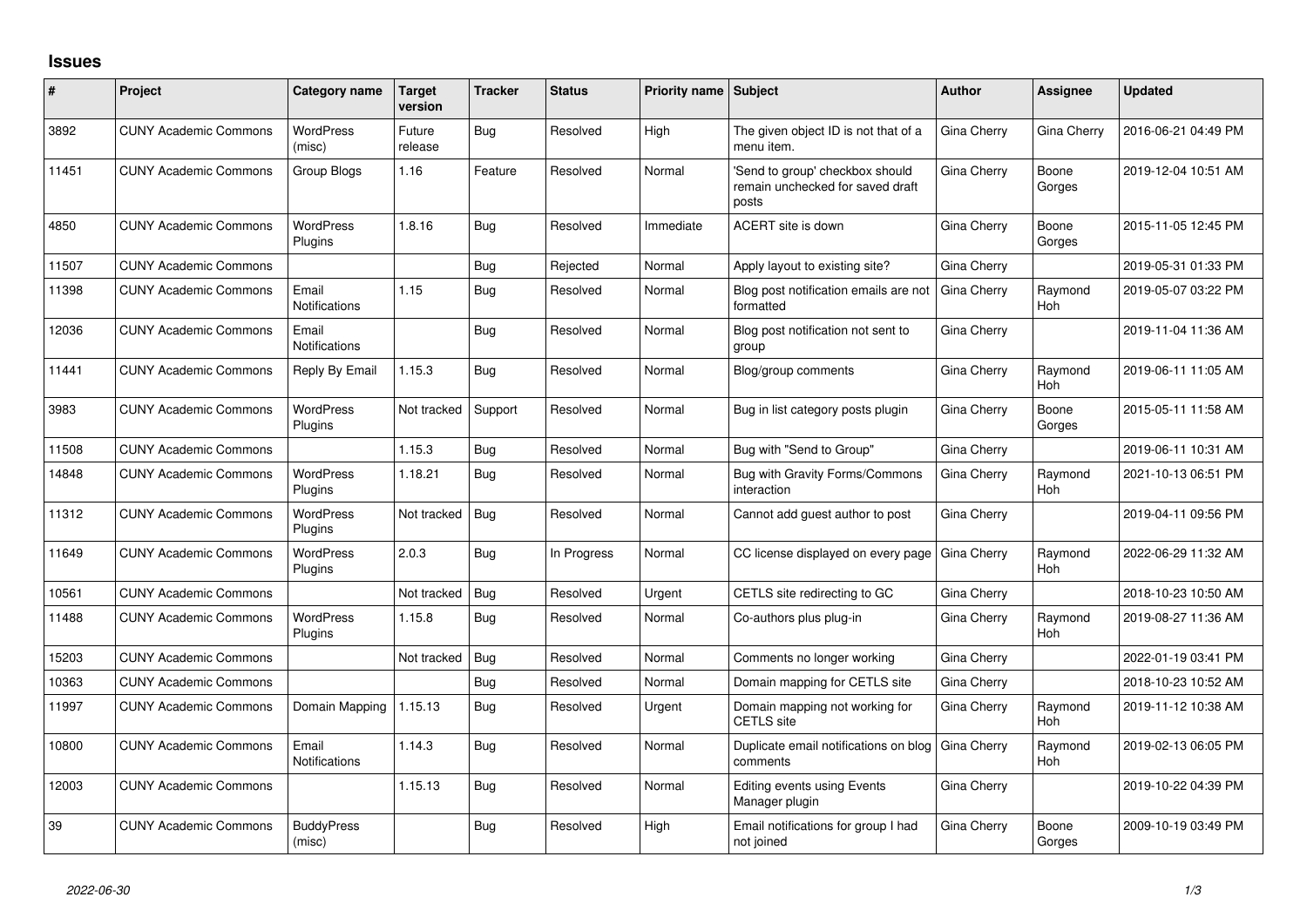## **Issues**

| #     | Project                      | Category name                 | <b>Target</b><br>version | <b>Tracker</b> | <b>Status</b> | <b>Priority name Subject</b> |                                                                              | <b>Author</b> | Assignee              | <b>Updated</b>      |
|-------|------------------------------|-------------------------------|--------------------------|----------------|---------------|------------------------------|------------------------------------------------------------------------------|---------------|-----------------------|---------------------|
| 3892  | <b>CUNY Academic Commons</b> | <b>WordPress</b><br>(misc)    | Future<br>release        | Bug            | Resolved      | High                         | The given object ID is not that of a<br>menu item.                           | Gina Cherry   | Gina Cherry           | 2016-06-21 04:49 PM |
| 11451 | <b>CUNY Academic Commons</b> | Group Blogs                   | 1.16                     | Feature        | Resolved      | Normal                       | 'Send to group' checkbox should<br>remain unchecked for saved draft<br>posts | Gina Cherry   | Boone<br>Gorges       | 2019-12-04 10:51 AM |
| 4850  | <b>CUNY Academic Commons</b> | <b>WordPress</b><br>Plugins   | 1.8.16                   | Bug            | Resolved      | Immediate                    | ACERT site is down                                                           | Gina Cherry   | Boone<br>Gorges       | 2015-11-05 12:45 PM |
| 11507 | <b>CUNY Academic Commons</b> |                               |                          | Bug            | Rejected      | Normal                       | Apply layout to existing site?                                               | Gina Cherry   |                       | 2019-05-31 01:33 PM |
| 11398 | <b>CUNY Academic Commons</b> | Email<br>Notifications        | 1.15                     | Bug            | Resolved      | Normal                       | Blog post notification emails are not<br>formatted                           | Gina Cherry   | Raymond<br>Hoh        | 2019-05-07 03:22 PM |
| 12036 | <b>CUNY Academic Commons</b> | Email<br>Notifications        |                          | Bug            | Resolved      | Normal                       | Blog post notification not sent to<br>group                                  | Gina Cherry   |                       | 2019-11-04 11:36 AM |
| 11441 | <b>CUNY Academic Commons</b> | Reply By Email                | 1.15.3                   | <b>Bug</b>     | Resolved      | Normal                       | Blog/group comments                                                          | Gina Cherry   | Raymond<br><b>Hoh</b> | 2019-06-11 11:05 AM |
| 3983  | <b>CUNY Academic Commons</b> | <b>WordPress</b><br>Plugins   | Not tracked              | Support        | Resolved      | Normal                       | Bug in list category posts plugin                                            | Gina Cherry   | Boone<br>Gorges       | 2015-05-11 11:58 AM |
| 11508 | <b>CUNY Academic Commons</b> |                               | 1.15.3                   | Bug            | Resolved      | Normal                       | Bug with "Send to Group"                                                     | Gina Cherry   |                       | 2019-06-11 10:31 AM |
| 14848 | <b>CUNY Academic Commons</b> | <b>WordPress</b><br>Plugins   | 1.18.21                  | Bug            | Resolved      | Normal                       | Bug with Gravity Forms/Commons<br>interaction                                | Gina Cherry   | Raymond<br><b>Hoh</b> | 2021-10-13 06:51 PM |
| 11312 | <b>CUNY Academic Commons</b> | <b>WordPress</b><br>Plugins   | Not tracked              | Bug            | Resolved      | Normal                       | Cannot add guest author to post                                              | Gina Cherry   |                       | 2019-04-11 09:56 PM |
| 11649 | <b>CUNY Academic Commons</b> | <b>WordPress</b><br>Plugins   | 2.0.3                    | <b>Bug</b>     | In Progress   | Normal                       | CC license displayed on every page                                           | Gina Cherry   | Raymond<br><b>Hoh</b> | 2022-06-29 11:32 AM |
| 10561 | <b>CUNY Academic Commons</b> |                               | Not tracked              | Bug            | Resolved      | Urgent                       | CETLS site redirecting to GC                                                 | Gina Cherry   |                       | 2018-10-23 10:50 AM |
| 11488 | <b>CUNY Academic Commons</b> | <b>WordPress</b><br>Plugins   | 1.15.8                   | Bug            | Resolved      | Normal                       | Co-authors plus plug-in                                                      | Gina Cherry   | Raymond<br><b>Hoh</b> | 2019-08-27 11:36 AM |
| 15203 | <b>CUNY Academic Commons</b> |                               | Not tracked              | Bug            | Resolved      | Normal                       | Comments no longer working                                                   | Gina Cherry   |                       | 2022-01-19 03:41 PM |
| 10363 | <b>CUNY Academic Commons</b> |                               |                          | Bug            | Resolved      | Normal                       | Domain mapping for CETLS site                                                | Gina Cherry   |                       | 2018-10-23 10:52 AM |
| 11997 | <b>CUNY Academic Commons</b> | Domain Mapping                | 1.15.13                  | Bug            | Resolved      | Urgent                       | Domain mapping not working for<br><b>CETLS</b> site                          | Gina Cherry   | Raymond<br>Hoh        | 2019-11-12 10:38 AM |
| 10800 | <b>CUNY Academic Commons</b> | Email<br><b>Notifications</b> | 1.14.3                   | Bug            | Resolved      | Normal                       | Duplicate email notifications on blog<br>comments                            | Gina Cherry   | Raymond<br>Hoh        | 2019-02-13 06:05 PM |
| 12003 | <b>CUNY Academic Commons</b> |                               | 1.15.13                  | Bug            | Resolved      | Normal                       | Editing events using Events<br>Manager plugin                                | Gina Cherry   |                       | 2019-10-22 04:39 PM |
| 39    | <b>CUNY Academic Commons</b> | <b>BuddyPress</b><br>(misc)   |                          | Bug            | Resolved      | High                         | Email notifications for group I had<br>not joined                            | Gina Cherry   | Boone<br>Gorges       | 2009-10-19 03:49 PM |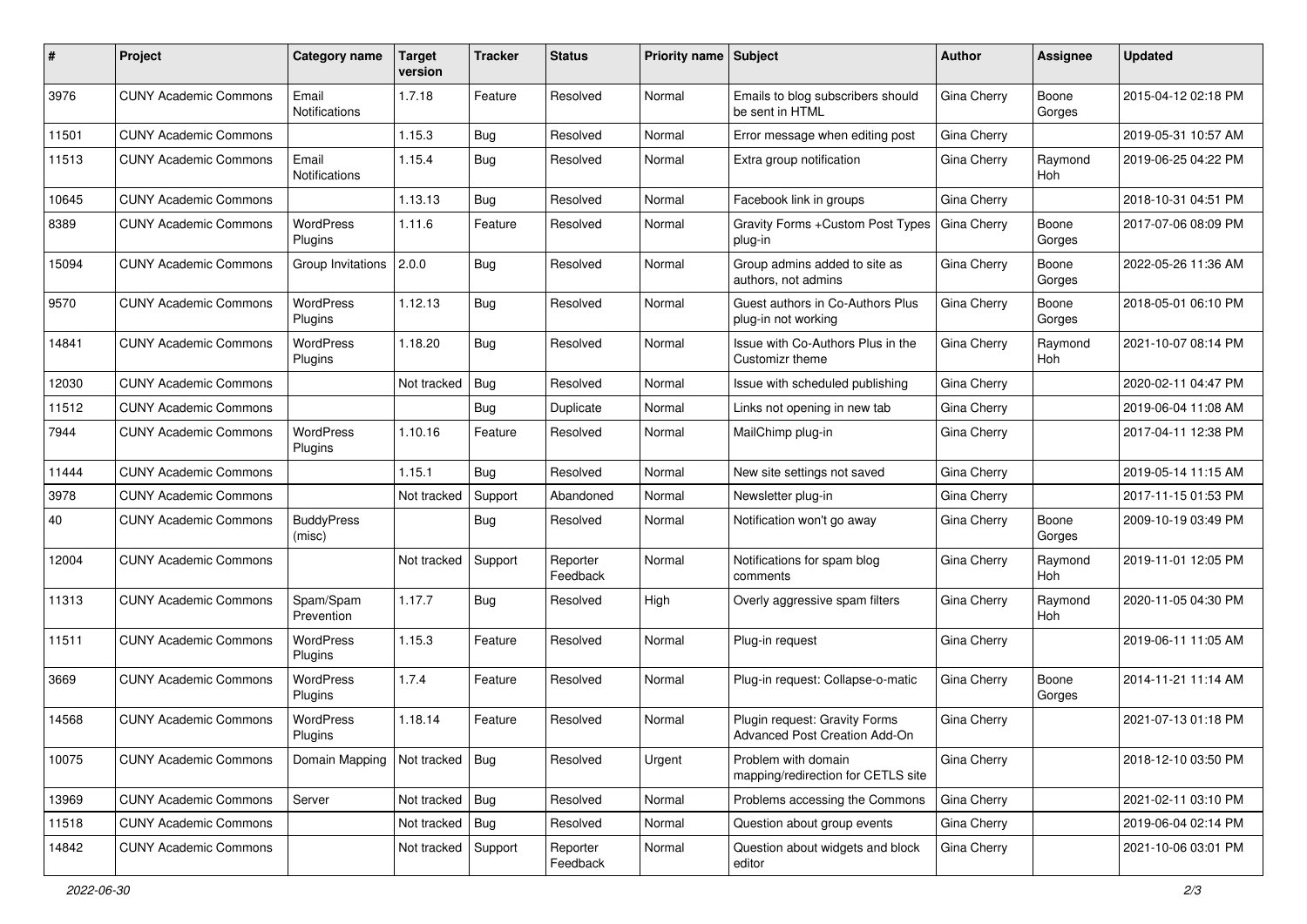| #     | Project                      | <b>Category name</b>        | <b>Target</b><br>version | <b>Tracker</b> | <b>Status</b>        | Priority name Subject |                                                                | Author             | Assignee              | <b>Updated</b>      |
|-------|------------------------------|-----------------------------|--------------------------|----------------|----------------------|-----------------------|----------------------------------------------------------------|--------------------|-----------------------|---------------------|
| 3976  | <b>CUNY Academic Commons</b> | Email<br>Notifications      | 1.7.18                   | Feature        | Resolved             | Normal                | Emails to blog subscribers should<br>be sent in HTML           | Gina Cherry        | Boone<br>Gorges       | 2015-04-12 02:18 PM |
| 11501 | <b>CUNY Academic Commons</b> |                             | 1.15.3                   | Bug            | Resolved             | Normal                | Error message when editing post                                | Gina Cherry        |                       | 2019-05-31 10:57 AM |
| 11513 | <b>CUNY Academic Commons</b> | Email<br>Notifications      | 1.15.4                   | Bug            | Resolved             | Normal                | Extra group notification                                       | Gina Cherry        | Raymond<br>Hoh        | 2019-06-25 04:22 PM |
| 10645 | <b>CUNY Academic Commons</b> |                             | 1.13.13                  | Bug            | Resolved             | Normal                | Facebook link in groups                                        | Gina Cherry        |                       | 2018-10-31 04:51 PM |
| 8389  | <b>CUNY Academic Commons</b> | WordPress<br>Plugins        | 1.11.6                   | Feature        | Resolved             | Normal                | Gravity Forms + Custom Post Types<br>plug-in                   | Gina Cherry        | Boone<br>Gorges       | 2017-07-06 08:09 PM |
| 15094 | <b>CUNY Academic Commons</b> | Group Invitations 2.0.0     |                          | Bug            | Resolved             | Normal                | Group admins added to site as<br>authors, not admins           | Gina Cherry        | Boone<br>Gorges       | 2022-05-26 11:36 AM |
| 9570  | <b>CUNY Academic Commons</b> | <b>WordPress</b><br>Plugins | 1.12.13                  | Bug            | Resolved             | Normal                | Guest authors in Co-Authors Plus<br>plug-in not working        | Gina Cherry        | Boone<br>Gorges       | 2018-05-01 06:10 PM |
| 14841 | <b>CUNY Academic Commons</b> | <b>WordPress</b><br>Plugins | 1.18.20                  | Bug            | Resolved             | Normal                | Issue with Co-Authors Plus in the<br>Customizr theme           | Gina Cherry        | Raymond<br>Hoh        | 2021-10-07 08:14 PM |
| 12030 | <b>CUNY Academic Commons</b> |                             | Not tracked              | Bug            | Resolved             | Normal                | Issue with scheduled publishing                                | Gina Cherry        |                       | 2020-02-11 04:47 PM |
| 11512 | <b>CUNY Academic Commons</b> |                             |                          | Bug            | Duplicate            | Normal                | Links not opening in new tab                                   | Gina Cherry        |                       | 2019-06-04 11:08 AM |
| 7944  | <b>CUNY Academic Commons</b> | <b>WordPress</b><br>Plugins | 1.10.16                  | Feature        | Resolved             | Normal                | MailChimp plug-in                                              | Gina Cherry        |                       | 2017-04-11 12:38 PM |
| 11444 | <b>CUNY Academic Commons</b> |                             | 1.15.1                   | Bug            | Resolved             | Normal                | New site settings not saved                                    | Gina Cherry        |                       | 2019-05-14 11:15 AM |
| 3978  | <b>CUNY Academic Commons</b> |                             | Not tracked              | Support        | Abandoned            | Normal                | Newsletter plug-in                                             | Gina Cherry        |                       | 2017-11-15 01:53 PM |
| 40    | <b>CUNY Academic Commons</b> | <b>BuddyPress</b><br>(misc) |                          | Bug            | Resolved             | Normal                | Notification won't go away                                     | Gina Cherry        | Boone<br>Gorges       | 2009-10-19 03:49 PM |
| 12004 | <b>CUNY Academic Commons</b> |                             | Not tracked              | Support        | Reporter<br>Feedback | Normal                | Notifications for spam blog<br>comments                        | Gina Cherry        | Raymond<br><b>Hoh</b> | 2019-11-01 12:05 PM |
| 11313 | <b>CUNY Academic Commons</b> | Spam/Spam<br>Prevention     | 1.17.7                   | Bug            | Resolved             | High                  | Overly aggressive spam filters                                 | Gina Cherry        | Raymond<br>Hoh        | 2020-11-05 04:30 PM |
| 11511 | <b>CUNY Academic Commons</b> | <b>WordPress</b><br>Plugins | 1.15.3                   | Feature        | Resolved             | Normal                | Plug-in request                                                | Gina Cherry        |                       | 2019-06-11 11:05 AM |
| 3669  | <b>CUNY Academic Commons</b> | WordPress<br>Plugins        | 1.7.4                    | Feature        | Resolved             | Normal                | Plug-in request: Collapse-o-matic                              | Gina Cherry        | Boone<br>Gorges       | 2014-11-21 11:14 AM |
| 14568 | <b>CUNY Academic Commons</b> | WordPress<br>Plugins        | 1.18.14                  | Feature        | Resolved             | Normal                | Plugin request: Gravity Forms<br>Advanced Post Creation Add-On | Gina Cherry        |                       | 2021-07-13 01:18 PM |
| 10075 | <b>CUNY Academic Commons</b> | Domain Mapping              | Not tracked Bug          |                | Resolved             | Urgent                | Problem with domain<br>mapping/redirection for CETLS site      | Gina Cherry        |                       | 2018-12-10 03:50 PM |
| 13969 | <b>CUNY Academic Commons</b> | Server                      | Not tracked   Bug        |                | Resolved             | Normal                | Problems accessing the Commons                                 | <b>Gina Cherry</b> |                       | 2021-02-11 03:10 PM |
| 11518 | <b>CUNY Academic Commons</b> |                             | Not tracked   Bug        |                | Resolved             | Normal                | Question about group events                                    | Gina Cherry        |                       | 2019-06-04 02:14 PM |
| 14842 | <b>CUNY Academic Commons</b> |                             | Not tracked              | Support        | Reporter<br>Feedback | Normal                | Question about widgets and block<br>editor                     | Gina Cherry        |                       | 2021-10-06 03:01 PM |